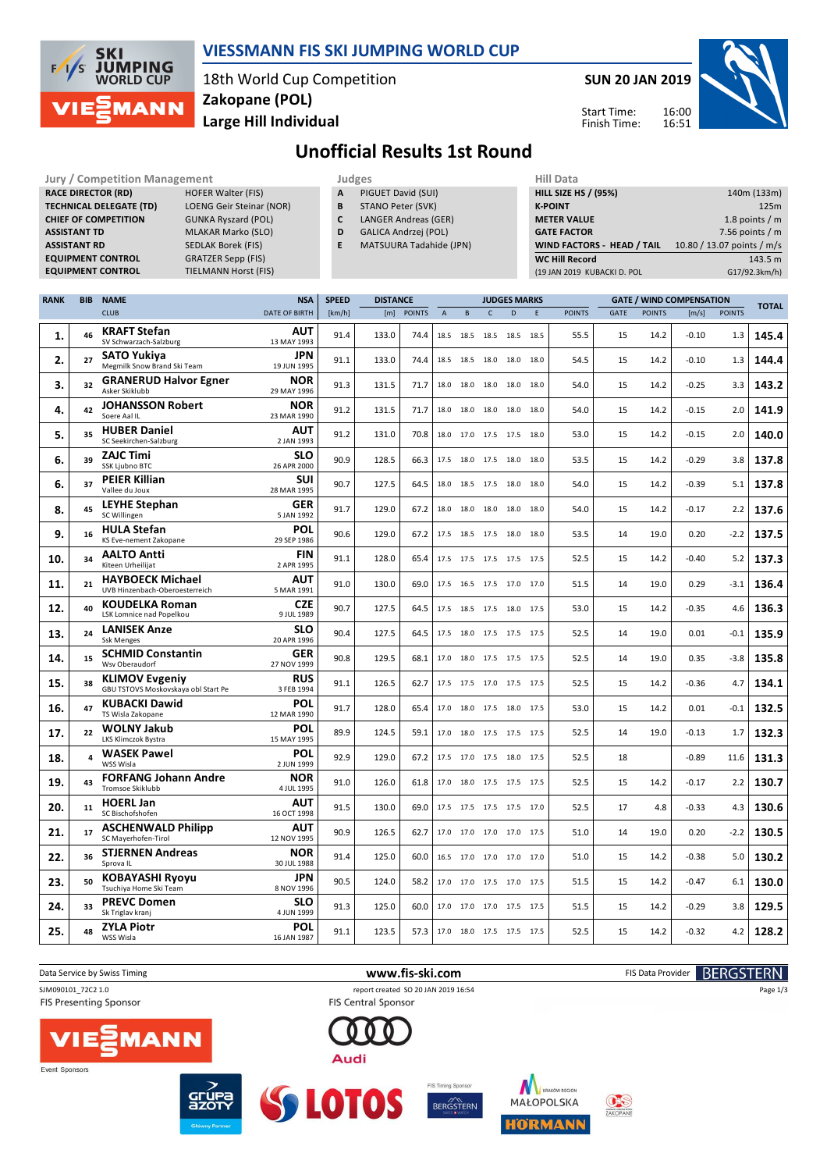

### **VIESSMANN FIS SKI JUMPING WORLD CUP**

18th World Cup Competition **Large Hill Individual Zakopane (POL)**

**SUN 20 JAN 2019**

Start Time: Finish Time:



## **Unofficial Results 1st Round**

| <b>Jury / Competition Management</b>                                                                          |                     |                                                              |                             |                                                            |              | Judges                  |               |                           |                |                                                                 |                                            |   | <b>Hill Data</b>            |      |               |                                 |               |               |  |
|---------------------------------------------------------------------------------------------------------------|---------------------|--------------------------------------------------------------|-----------------------------|------------------------------------------------------------|--------------|-------------------------|---------------|---------------------------|----------------|-----------------------------------------------------------------|--------------------------------------------|---|-----------------------------|------|---------------|---------------------------------|---------------|---------------|--|
| <b>RACE DIRECTOR (RD)</b><br><b>HOFER Walter (FIS)</b>                                                        |                     |                                                              |                             | Α<br>PIGUET David (SUI)                                    |              |                         |               |                           |                |                                                                 | <b>HILL SIZE HS / (95%)</b><br>140m (133m) |   |                             |      |               |                                 |               |               |  |
| <b>TECHNICAL DELEGATE (TD)</b><br>LOENG Geir Steinar (NOR)                                                    |                     |                                                              |                             | STANO Peter (SVK)<br>B<br>C<br><b>LANGER Andreas (GER)</b> |              |                         |               |                           |                | <b>K-POINT</b><br>125m<br><b>METER VALUE</b><br>1.8 points $/m$ |                                            |   |                             |      |               |                                 |               |               |  |
| <b>CHIEF OF COMPETITION</b><br><b>GUNKA Ryszard (POL)</b><br><b>MLAKAR Marko (SLO)</b><br><b>ASSISTANT TD</b> |                     |                                                              |                             | D<br>GALICA Andrzej (POL)                                  |              |                         |               |                           |                | <b>GATE FACTOR</b><br>7.56 points $/m$                          |                                            |   |                             |      |               |                                 |               |               |  |
|                                                                                                               | <b>ASSISTANT RD</b> |                                                              | SEDLAK Borek (FIS)          |                                                            | E            | MATSUURA Tadahide (JPN) |               |                           |                |                                                                 |                                            |   | WIND FACTORS - HEAD / TAIL  |      |               | 10.80 / 13.07 points / m/s      |               |               |  |
|                                                                                                               |                     | <b>EQUIPMENT CONTROL</b>                                     | <b>GRATZER Sepp (FIS)</b>   |                                                            |              |                         |               |                           |                |                                                                 |                                            |   | <b>WC Hill Record</b>       |      |               |                                 |               | 143.5 m       |  |
|                                                                                                               |                     | <b>EQUIPMENT CONTROL</b>                                     | <b>TIELMANN Horst (FIS)</b> |                                                            |              |                         |               |                           |                |                                                                 |                                            |   | (19 JAN 2019 KUBACKI D. POL |      |               |                                 |               | G17/92.3km/h) |  |
|                                                                                                               |                     |                                                              |                             |                                                            |              |                         |               |                           |                |                                                                 |                                            |   |                             |      |               |                                 |               |               |  |
| <b>RANK</b>                                                                                                   | <b>BIB</b>          | <b>NAME</b>                                                  |                             | <b>NSA</b>                                                 | <b>SPEED</b> | <b>DISTANCE</b>         |               |                           |                |                                                                 | <b>JUDGES MARKS</b>                        |   |                             |      |               | <b>GATE / WIND COMPENSATION</b> |               | <b>TOTAL</b>  |  |
|                                                                                                               |                     | <b>CLUB</b>                                                  |                             | <b>DATE OF BIRTH</b>                                       | [km/h]       | [m]                     | <b>POINTS</b> | $\boldsymbol{\mathsf{A}}$ | $\sf{B}$       | $\mathsf{C}$                                                    | D                                          | E | <b>POINTS</b>               | GATE | <b>POINTS</b> | [m/s]                           | <b>POINTS</b> |               |  |
| 1.                                                                                                            | 46                  | <b>KRAFT Stefan</b><br>SV Schwarzach-Salzburg                |                             | AUT<br>13 MAY 1993                                         | 91.4         | 133.0                   | 74.4          |                           | 18.5 18.5      | 18.5                                                            | 18.5 18.5                                  |   | 55.5                        | 15   | 14.2          | $-0.10$                         | 1.3           | 145.4         |  |
| 2.                                                                                                            | 27                  | SATO Yukiya<br>Megmilk Snow Brand Ski Team                   |                             | JPN<br>19 JUN 1995                                         | 91.1         | 133.0                   | 74.4          |                           | 18.5 18.5      | 18.0                                                            | 18.0 18.0                                  |   | 54.5                        | 15   | 14.2          | $-0.10$                         | 1.3           | 144.4         |  |
| 3.                                                                                                            | 32                  | <b>GRANERUD Halvor Egner</b><br>Asker Skiklubb               |                             | <b>NOR</b><br>29 MAY 1996                                  | 91.3         | 131.5                   | 71.7          |                           | 18.0 18.0      | 18.0                                                            | 18.0 18.0                                  |   | 54.0                        | 15   | 14.2          | $-0.25$                         | 3.3           | 143.2         |  |
| 4.                                                                                                            | 42                  | <b>JOHANSSON Robert</b><br>Soere Aal IL                      |                             | <b>NOR</b><br>23 MAR 1990                                  | 91.2         | 131.5                   | 71.7          |                           | 18.0 18.0      | 18.0                                                            | 18.0 18.0                                  |   | 54.0                        | 15   | 14.2          | $-0.15$                         | 2.0           | 141.9         |  |
| 5.                                                                                                            | 35                  | <b>HUBER Daniel</b>                                          |                             | <b>AUT</b>                                                 | 91.2         | 131.0                   | 70.8          |                           | 18.0 17.0      | 17.5 17.5 18.0                                                  |                                            |   | 53.0                        | 15   | 14.2          | $-0.15$                         | 2.0           | 140.0         |  |
| 6.                                                                                                            | 39                  | SC Seekirchen-Salzburg<br>ZAJC Timi                          |                             | 2 JAN 1993<br><b>SLO</b>                                   | 90.9         | 128.5                   | 66.3          | 17.5 18.0                 |                | 17.5                                                            | 18.0 18.0                                  |   | 53.5                        | 15   | 14.2          | $-0.29$                         | 3.8           | 137.8         |  |
|                                                                                                               |                     | <b>SSK Ljubno BTC</b><br><b>PEIER Killian</b>                |                             | 26 APR 2000<br><b>SUI</b>                                  |              |                         |               |                           |                |                                                                 |                                            |   |                             |      |               |                                 |               |               |  |
| 6.                                                                                                            | 37                  | Vallee du Joux<br><b>LEYHE Stephan</b>                       |                             | 28 MAR 1995<br><b>GER</b>                                  | 90.7         | 127.5                   | 64.5          |                           | 18.0 18.5 17.5 |                                                                 | 18.0 18.0                                  |   | 54.0                        | 15   | 14.2          | $-0.39$                         | 5.1           | 137.8         |  |
| 8.                                                                                                            | 45                  | SC Willingen                                                 |                             | 5 JAN 1992                                                 | 91.7         | 129.0                   | 67.2          |                           | 18.0 18.0      | 18.0                                                            | 18.0 18.0                                  |   | 54.0                        | 15   | 14.2          | $-0.17$                         | 2.2           | 137.6         |  |
| 9.                                                                                                            | 16                  | <b>HULA Stefan</b><br>KS Eve-nement Zakopane                 |                             | POL<br>29 SEP 1986                                         | 90.6         | 129.0                   | 67.2          |                           |                | 17.5 18.5 17.5 18.0 18.0                                        |                                            |   | 53.5                        | 14   | 19.0          | 0.20                            | $-2.2$        | 137.5         |  |
| 10.                                                                                                           | 34                  | <b>AALTO Antti</b><br>Kiteen Urheilijat                      |                             | <b>FIN</b><br>2 APR 1995                                   | 91.1         | 128.0                   | 65.4          |                           |                | 17.5 17.5 17.5 17.5 17.5                                        |                                            |   | 52.5                        | 15   | 14.2          | $-0.40$                         | 5.2           | 137.3         |  |
| 11.                                                                                                           | 21                  | <b>HAYBOECK Michael</b><br>UVB Hinzenbach-Oberoesterreich    |                             | <b>AUT</b><br>5 MAR 1991                                   | 91.0         | 130.0                   | 69.0          |                           |                | 17.5 16.5 17.5 17.0 17.0                                        |                                            |   | 51.5                        | 14   | 19.0          | 0.29                            | $-3.1$        | 136.4         |  |
| 12.                                                                                                           | 40                  | <b>KOUDELKA Roman</b><br>LSK Lomnice nad Popelkou            |                             | <b>CZE</b><br>9 JUL 1989                                   | 90.7         | 127.5                   | 64.5          |                           |                | 17.5 18.5 17.5 18.0 17.5                                        |                                            |   | 53.0                        | 15   | 14.2          | $-0.35$                         | 4.6           | 136.3         |  |
| 13.                                                                                                           | 24                  | <b>LANISEK Anze</b><br><b>Ssk Menges</b>                     |                             | <b>SLO</b><br>20 APR 1996                                  | 90.4         | 127.5                   | 64.5          |                           |                | 17.5 18.0 17.5 17.5 17.5                                        |                                            |   | 52.5                        | 14   | 19.0          | 0.01                            | $-0.1$        | 135.9         |  |
| 14.                                                                                                           | 15                  | <b>SCHMID Constantin</b><br>Wsv Oberaudorf                   |                             | <b>GER</b><br>27 NOV 1999                                  | 90.8         | 129.5                   | 68.1          |                           |                | 17.0 18.0 17.5 17.5 17.5                                        |                                            |   | 52.5                        | 14   | 19.0          | 0.35                            | $-3.8$        | 135.8         |  |
| 15.                                                                                                           | 38                  | <b>KLIMOV Evgeniy</b><br>GBU TSTOVS Moskovskaya obl Start Pe |                             | <b>RUS</b><br>3 FEB 1994                                   | 91.1         | 126.5                   | 62.7          |                           |                | 17.5 17.5 17.0 17.5 17.5                                        |                                            |   | 52.5                        | 15   | 14.2          | $-0.36$                         | 4.7           | 134.1         |  |
| 16.                                                                                                           | 47                  | <b>KUBACKI Dawid</b><br>TS Wisla Zakopane                    |                             | POL<br>12 MAR 1990                                         | 91.7         | 128.0                   | 65.4          |                           |                | 17.0 18.0 17.5 18.0 17.5                                        |                                            |   | 53.0                        | 15   | 14.2          | 0.01                            | $-0.1$        | 132.5         |  |
| 17.                                                                                                           | 22                  | <b>WOLNY Jakub</b><br>LKS Klimczok Bystra                    |                             | POL<br>15 MAY 1995                                         | 89.9         | 124.5                   | 59.1          |                           |                | 17.0 18.0 17.5 17.5 17.5                                        |                                            |   | 52.5                        | 14   | 19.0          | $-0.13$                         | 1.7           | 132.3         |  |
| 18.                                                                                                           | 4                   | <b>WASEK Pawel</b><br>WSS Wisla                              |                             | POL<br>2 JUN 1999                                          | 92.9         | 129.0                   | 67.2          |                           |                | 17.5 17.0 17.5 18.0 17.5                                        |                                            |   | 52.5                        | 18   |               | $-0.89$                         | 11.6          | 131.3         |  |
| 19.                                                                                                           | 43                  | <b>FORFANG Johann Andre</b><br>Tromsoe Skiklubb              |                             | <b>NOR</b><br>4 JUL 1995                                   | 91.0         | 126.0                   | 61.8          |                           |                | 17.0 18.0 17.5 17.5 17.5                                        |                                            |   | 52.5                        | 15   | 14.2          | $-0.17$                         | 2.2           | 130.7         |  |
| 20.                                                                                                           | 11                  | <b>HOERL Jan</b><br>SC Bischofshofen                         |                             | <b>AUT</b><br>16 OCT 1998                                  | 91.5         | 130.0                   | 69.0          |                           |                | 17.5 17.5 17.5 17.5 17.0                                        |                                            |   | 52.5                        | 17   | 4.8           | $-0.33$                         | 4.3           | 130.6         |  |
| 21.                                                                                                           | 17                  | <b>ASCHENWALD Philipp</b><br>SC Mayerhofen-Tirol             |                             | AUT<br>12 NOV 1995                                         | 90.9         | 126.5                   | 62.7          |                           |                | 17.0 17.0 17.0 17.0 17.5                                        |                                            |   | 51.0                        | 14   | 19.0          | 0.20                            | $-2.2$        | 130.5         |  |
| 22.                                                                                                           | 36                  | <b>STJERNEN Andreas</b><br>Sprova IL                         |                             | <b>NOR</b><br>30 JUL 1988                                  | 91.4         | 125.0                   | 60.0          |                           |                | 16.5 17.0 17.0 17.0 17.0                                        |                                            |   | 51.0                        | 15   | 14.2          | $-0.38$                         | 5.0           | 130.2         |  |
| 23.                                                                                                           | 50                  | <b>KOBAYASHI Ryoyu</b><br>Tsuchiya Home Ski Team             |                             | JPN<br>8 NOV 1996                                          | 90.5         | 124.0                   | 58.2          |                           |                | 17.0 17.0 17.5 17.0 17.5                                        |                                            |   | 51.5                        | 15   | 14.2          | $-0.47$                         | 6.1           | 130.0         |  |
| 24.                                                                                                           | 33                  | <b>PREVC Domen</b><br>Sk Triglav kranj                       |                             | <b>SLO</b><br>4 JUN 1999                                   | 91.3         | 125.0                   | 60.0          |                           |                | 17.0 17.0 17.0 17.5 17.5                                        |                                            |   | 51.5                        | 15   | 14.2          | $-0.29$                         | 3.8           | 129.5         |  |
| 25.                                                                                                           | 48                  | <b>ZYLA Piotr</b><br>WSS Wisla                               |                             | <b>POL</b><br>16 JAN 1987                                  | 91.1         | 123.5                   | 57.3          |                           |                | 17.0 18.0 17.5 17.5 17.5                                        |                                            |   | 52.5                        | 15   | 14.2          | $-0.32$                         | 4.2           | 128.2         |  |
|                                                                                                               |                     |                                                              |                             |                                                            |              |                         |               |                           |                |                                                                 |                                            |   |                             |      |               |                                 |               |               |  |



Event Sponsors



**SS LOTOS** 





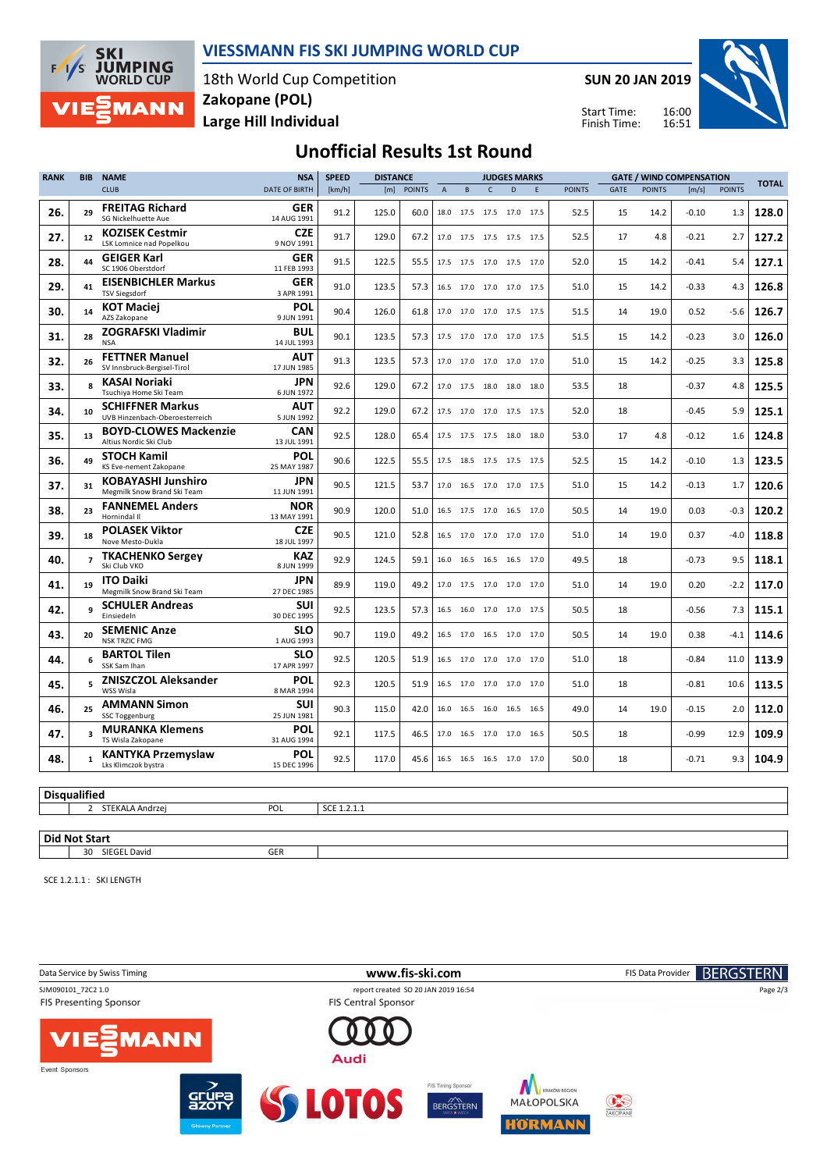

#### **VIESSMANN FIS SKI JUMPING WORLD CUP**

18th World Cup Competition **Large Hill Individual Zakopane (POL)**

**SUN 20 JAN 2019**

Start Time: Finish Time:



## **Unofficial Results 1st Round**

| <b>RANK</b>         | <b>BIB</b>              | <b>NAME</b>                                               | <b>NSA</b>                | <b>SPEED</b><br><b>DISTANCE</b> |       |               | <b>JUDGES MARKS</b> |                |                     |                          |      |               |      |               | <b>GATE / WIND COMPENSATION</b> |               |              |
|---------------------|-------------------------|-----------------------------------------------------------|---------------------------|---------------------------------|-------|---------------|---------------------|----------------|---------------------|--------------------------|------|---------------|------|---------------|---------------------------------|---------------|--------------|
|                     |                         | <b>CLUB</b>                                               | <b>DATE OF BIRTH</b>      | [km/h]                          | [m]   | <b>POINTS</b> | $\overline{A}$      | B              | $\mathsf{C}$        | D.                       | E    | <b>POINTS</b> | GATE | <b>POINTS</b> | [m/s]                           | <b>POINTS</b> | <b>TOTAL</b> |
| 26.                 | 29                      | <b>FREITAG Richard</b><br><b>SG Nickelhuette Aue</b>      | GER<br>14 AUG 1991        | 91.2                            | 125.0 | 60.0          | 18.0                | 17.5           | 17.5                | 17.0                     | 17.5 | 52.5          | 15   | 14.2          | $-0.10$                         | 1.3           | 128.0        |
| 27.                 | 12                      | <b>KOZISEK Cestmir</b><br><b>LSK Lomnice nad Popelkou</b> | <b>CZE</b><br>9 NOV 1991  | 91.7                            | 129.0 | 67.2          |                     |                |                     | 17.0 17.5 17.5 17.5 17.5 |      | 52.5          | 17   | 4.8           | $-0.21$                         | 2.7           | 127.2        |
| 28.                 | 44                      | <b>GEIGER Karl</b><br>SC 1906 Oberstdorf                  | GER<br>11 FEB 1993        | 91.5                            | 122.5 | 55.5          |                     |                |                     | 17.5 17.5 17.0 17.5 17.0 |      | 52.0          | 15   | 14.2          | $-0.41$                         | 5.4           | 127.1        |
| 29.                 | 41                      | <b>EISENBICHLER Markus</b><br><b>TSV Siegsdorf</b>        | GER<br>3 APR 1991         | 91.0                            | 123.5 | 57.3          |                     |                |                     | 16.5 17.0 17.0 17.0 17.5 |      | 51.0          | 15   | 14.2          | $-0.33$                         | 4.3           | 126.8        |
| 30.                 | 14                      | <b>KOT Maciej</b><br>AZS Zakopane                         | POL<br>9 JUN 1991         | 90.4                            | 126.0 | 61.8          |                     | 17.0 17.0      | 17.0 17.5           |                          | 17.5 | 51.5          | 14   | 19.0          | 0.52                            | $-5.6$        | 126.7        |
| 31.                 | 28                      | <b>ZOGRAFSKI Vladimir</b><br><b>NSA</b>                   | <b>BUL</b><br>14 JUL 1993 | 90.1                            | 123.5 | 57.3          |                     |                | 17.5 17.0 17.0 17.0 |                          | 17.5 | 51.5          | 15   | 14.2          | $-0.23$                         | 3.0           | 126.0        |
| 32.                 | 26                      | <b>FETTNER Manuel</b><br>SV Innsbruck-Bergisel-Tirol      | <b>AUT</b><br>17 JUN 1985 | 91.3                            | 123.5 | 57.3          |                     | 17.0 17.0      | 17.0                | 17.0                     | 17.0 | 51.0          | 15   | 14.2          | $-0.25$                         | 3.3           | 125.8        |
| 33.                 | 8                       | <b>KASAI Noriaki</b><br>Tsuchiya Home Ski Team            | <b>JPN</b><br>6 JUN 1972  | 92.6                            | 129.0 | 67.2          |                     | 17.0 17.5      | 18.0                | 18.0                     | 18.0 | 53.5          | 18   |               | $-0.37$                         | 4.8           | 125.5        |
| 34.                 | 10                      | <b>SCHIFFNER Markus</b><br>UVB Hinzenbach-Oberoesterreich | <b>AUT</b><br>5 JUN 1992  | 92.2                            | 129.0 | 67.2          |                     |                |                     | 17.5 17.0 17.0 17.5 17.5 |      | 52.0          | 18   |               | -0.45                           | 5.9           | 125.1        |
| 35.                 | 13                      | <b>BOYD-CLOWES Mackenzie</b><br>Altius Nordic Ski Club    | <b>CAN</b><br>13 JUL 1991 | 92.5                            | 128.0 | 65.4          |                     |                |                     | 17.5 17.5 17.5 18.0 18.0 |      | 53.0          | 17   | 4.8           | $-0.12$                         | 1.6           | 124.8        |
| 36.                 | 49                      | <b>STOCH Kamil</b><br>KS Eve-nement Zakopane              | POL<br>25 MAY 1987        | 90.6                            | 122.5 | 55.5          |                     |                |                     | 17.5 18.5 17.5 17.5 17.5 |      | 52.5          | 15   | 14.2          | -0.10                           | 1.3           | 123.5        |
| 37.                 | 31                      | <b>KOBAYASHI Junshiro</b><br>Megmilk Snow Brand Ski Team  | JPN<br>11 JUN 1991        | 90.5                            | 121.5 | 53.7          |                     |                |                     | 17.0 16.5 17.0 17.0 17.5 |      | 51.0          | 15   | 14.2          | $-0.13$                         | 1.7           | 120.6        |
| 38.                 | 23                      | <b>FANNEMEL Anders</b><br>Hornindal II                    | <b>NOR</b><br>13 MAY 1991 | 90.9                            | 120.0 | 51.0          |                     | 16.5 17.5 17.0 |                     | 16.5                     | 17.0 | 50.5          | 14   | 19.0          | 0.03                            | $-0.3$        | 120.2        |
| 39.                 | 18                      | <b>POLASEK Viktor</b><br>Nove Mesto-Dukla                 | <b>CZE</b><br>18 JUL 1997 | 90.5                            | 121.0 | 52.8          |                     | 16.5 17.0      | 17.0                | 17.0                     | 17.0 | 51.0          | 14   | 19.0          | 0.37                            | $-4.0$        | 118.8        |
| 40.                 | $\overline{z}$          | <b>TKACHENKO Sergey</b><br>Ski Club VKO                   | <b>KAZ</b><br>8 JUN 1999  | 92.9                            | 124.5 | 59.1          |                     |                |                     | 16.0 16.5 16.5 16.5 17.0 |      | 49.5          | 18   |               | $-0.73$                         | 9.5           | 118.1        |
| 41.                 | 19                      | <b>ITO Daiki</b><br>Megmilk Snow Brand Ski Team           | <b>JPN</b><br>27 DEC 1985 | 89.9                            | 119.0 | 49.2          |                     |                |                     | 17.0 17.5 17.0 17.0 17.0 |      | 51.0          | 14   | 19.0          | 0.20                            | $-2.2$        | 117.0        |
| 42.                 | q                       | <b>SCHULER Andreas</b><br>Einsiedeln                      | <b>SUI</b><br>30 DEC 1995 | 92.5                            | 123.5 | 57.3          |                     |                |                     | 16.5 16.0 17.0 17.0 17.5 |      | 50.5          | 18   |               | $-0.56$                         | 7.3           | 115.1        |
| 43.                 | 20                      | <b>SEMENIC Anze</b><br><b>NSK TRZIC FMG</b>               | <b>SLO</b><br>1 AUG 1993  | 90.7                            | 119.0 | 49.2          |                     |                |                     | 16.5 17.0 16.5 17.0 17.0 |      | 50.5          | 14   | 19.0          | 0.38                            | $-4.1$        | 114.6        |
| 44.                 | 6                       | <b>BARTOL Tilen</b><br>SSK Sam Ihan                       | SLO<br>17 APR 1997        | 92.5                            | 120.5 | 51.9          |                     | 16.5 17.0      | 17.0                | 17.0                     | 17.0 | 51.0          | 18   |               | $-0.84$                         | 11.0          | 113.9        |
| 45.                 | 5                       | <b>ZNISZCZOL Aleksander</b><br>WSS Wisla                  | <b>POL</b><br>8 MAR 1994  | 92.3                            | 120.5 | 51.9          |                     | 16.5 17.0 17.0 |                     | 17.0 17.0                |      | 51.0          | 18   |               | $-0.81$                         | 10.6          | 113.5        |
| 46.                 | 25                      | <b>AMMANN Simon</b><br><b>SSC Toggenburg</b>              | <b>SUI</b><br>25 JUN 1981 | 90.3                            | 115.0 | 42.0          |                     | 16.0 16.5      | 16.0                | 16.5 16.5                |      | 49.0          | 14   | 19.0          | $-0.15$                         | 2.0           | 112.0        |
| 47.                 | $\overline{\mathbf{3}}$ | <b>MURANKA Klemens</b><br>TS Wisla Zakopane               | POL<br>31 AUG 1994        | 92.1                            | 117.5 | 46.5          |                     |                |                     | 17.0 16.5 17.0 17.0 16.5 |      | 50.5          | 18   |               | $-0.99$                         | 12.9          | 109.9        |
| 48.                 | $\mathbf{1}$            | <b>KANTYKA Przemyslaw</b><br>Lks Klimczok bystra          | <b>POL</b><br>15 DEC 1996 | 92.5                            | 117.0 | 45.6          |                     |                |                     | 16.5 16.5 16.5 17.0 17.0 |      | 50.0          | 18   |               | $-0.71$                         | 9.3           | 104.9        |
|                     |                         |                                                           |                           |                                 |       |               |                     |                |                     |                          |      |               |      |               |                                 |               |              |
| <b>Disqualified</b> |                         |                                                           |                           |                                 |       |               |                     |                |                     |                          |      |               |      |               |                                 |               |              |
|                     | $\overline{2}$          | STEKALA Andrzej                                           | POL                       | SCE 1.2.1.1                     |       |               |                     |                |                     |                          |      |               |      |               |                                 |               |              |

**Did Not Start** 30 SIEGEL David GER

SCE 1.2.1.1 : SKI LENGTH